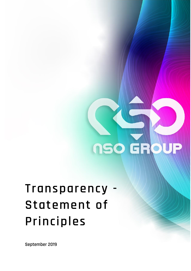

## **Transparency - Statement of Principles**

**September 2019**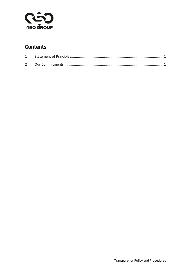

## Contents